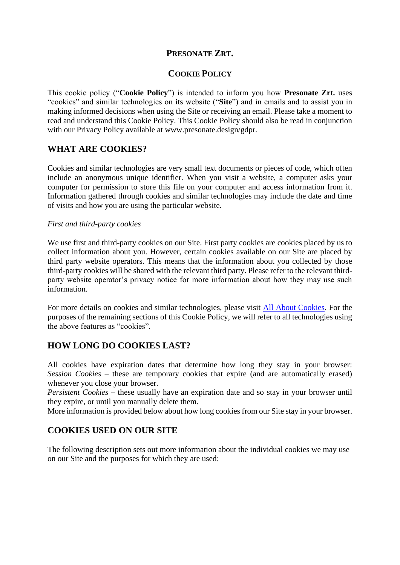## **PRESONATE ZRT.**

## **COOKIE POLICY**

This cookie policy ("**Cookie Policy**") is intended to inform you how **Presonate Zrt.** uses "cookies" and similar technologies on its website ("**Site**") and in emails and to assist you in making informed decisions when using the Site or receiving an email. Please take a moment to read and understand this Cookie Policy. This Cookie Policy should also be read in conjunction with our Privacy Policy available at www.presonate.design/gdpr.

## **WHAT ARE COOKIES?**

Cookies and similar technologies are very small text documents or pieces of code, which often include an anonymous unique identifier. When you visit a website, a computer asks your computer for permission to store this file on your computer and access information from it. Information gathered through cookies and similar technologies may include the date and time of visits and how you are using the particular website.

### *First and third-party cookies*

We use first and third-party cookies on our Site. First party cookies are cookies placed by us to collect information about you. However, certain cookies available on our Site are placed by third party website operators. This means that the information about you collected by those third-party cookies will be shared with the relevant third party. Please refer to the relevant thirdparty website operator's privacy notice for more information about how they may use such information.

For more details on cookies and similar technologies, please visit [All About Cookies.](http://www.allaboutcookies.org/) For the purposes of the remaining sections of this Cookie Policy, we will refer to all technologies using the above features as "cookies".

## **HOW LONG DO COOKIES LAST?**

All cookies have expiration dates that determine how long they stay in your browser: *Session Cookies* – these are temporary cookies that expire (and are automatically erased) whenever you close your browser.

*Persistent Cookies* – these usually have an expiration date and so stay in your browser until they expire, or until you manually delete them.

More information is provided below about how long cookies from our Site stay in your browser.

## **COOKIES USED ON OUR SITE**

The following description sets out more information about the individual cookies we may use on our Site and the purposes for which they are used: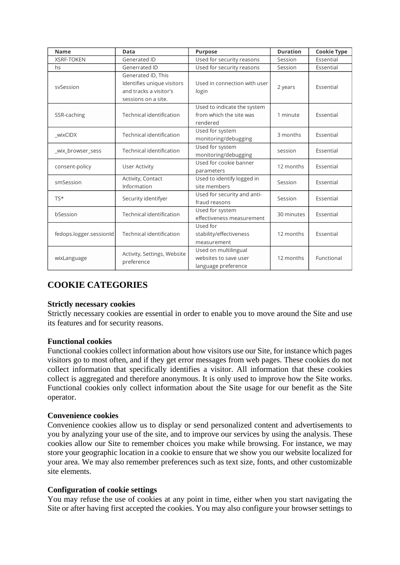| <b>Name</b>             | Data                                                                                              | <b>Purpose</b>                                                       | <b>Duration</b> | <b>Cookie Type</b> |
|-------------------------|---------------------------------------------------------------------------------------------------|----------------------------------------------------------------------|-----------------|--------------------|
| <b>XSRF-TOKEN</b>       | Generated ID                                                                                      | Used for security reasons                                            | Session         | Essential          |
| hs                      | Generrated ID                                                                                     | Used for security reasons                                            | Session         | Essential          |
| sySession               | Generated ID, This<br>Identifies unique visitors<br>and tracks a visitor's<br>sessions on a site. | Used in connection with user<br>login                                | 2 years         | Essential          |
| SSR-caching             | Technical identification                                                                          | Used to indicate the system<br>from which the site was<br>rendered   | 1 minute        | Essential          |
| wixCIDX                 | Technical identification                                                                          | Used for system<br>monitoring/debugging                              | 3 months        | Essential          |
| wix browser sess        | Technical identification                                                                          | Used for system<br>monitoring/debugging                              | session         | Essential          |
| consent-policy          | User Activity                                                                                     | Used for cookie banner<br>parameters                                 | 12 months       | Essential          |
| smSession               | Activity, Contact<br>Information                                                                  | Used to identify logged in<br>site members                           | Session         | Essential          |
| TS*                     | Security identifyer                                                                               | Used for security and anti-<br>fraud reasons                         | Session         | Essential          |
| bSession                | Technical identification                                                                          | Used for system<br>effectiveness measurement                         | 30 minutes      | Essential          |
| fedops.logger.sessionId | Technical identification                                                                          | Used for<br>stability/effectiveness<br>measurement                   | 12 months       | Essential          |
| wixLanguage             | Activity, Settings, Website<br>preference                                                         | Used on multilingual<br>websites to save user<br>language preference | 12 months       | Functional         |

# **COOKIE CATEGORIES**

### **Strictly necessary cookies**

Strictly necessary cookies are essential in order to enable you to move around the Site and use its features and for security reasons.

### **Functional cookies**

Functional cookies collect information about how visitors use our Site, for instance which pages visitors go to most often, and if they get error messages from web pages. These cookies do not collect information that specifically identifies a visitor. All information that these cookies collect is aggregated and therefore anonymous. It is only used to improve how the Site works. Functional cookies only collect information about the Site usage for our benefit as the Site operator.

### **Convenience cookies**

Convenience cookies allow us to display or send personalized content and advertisements to you by analyzing your use of the site, and to improve our services by using the analysis. These cookies allow our Site to remember choices you make while browsing. For instance, we may store your geographic location in a cookie to ensure that we show you our website localized for your area. We may also remember preferences such as text size, fonts, and other customizable site elements.

### **Configuration of cookie settings**

You may refuse the use of cookies at any point in time, either when you start navigating the Site or after having first accepted the cookies. You may also configure your browser settings to